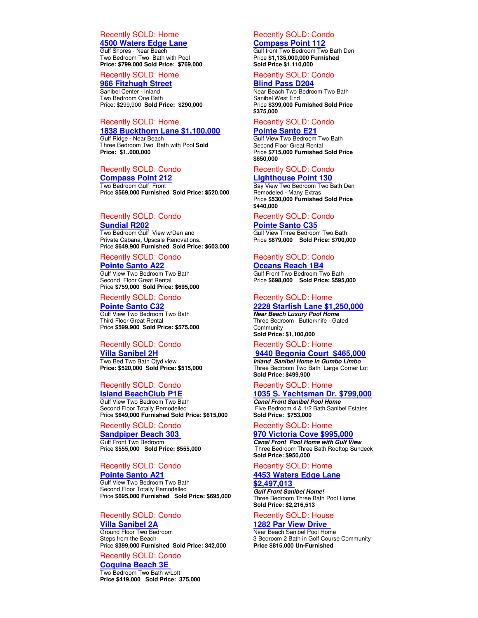### Recently SOLD: Home **4500 Waters Edge Lane**

Gulf Shores - Near Beach Two Bedroom Two Bath with Pool **Price: \$799,000 Sold Price: \$769,000** 

### Recently SOLD: Home **966 Fitzhugh Street**

Sanibel Center - Inland Two Bedroom One Bath Price: \$299,900 **Sold Price: \$290,000** 

# Recently SOLD: Home **1838 Buckthorn Lane \$1,100,000**

Gulf Ridge - Near Beach Three Bedroom Two Bath with Pool **Sold Price: \$1,.000,000** 

## Recently SOLD: Condo

**Compass Point 212**  Two Bedroom Gulf Front Price **\$569,000 Furnished Sold Price: \$520.000** 

### Recently SOLD: Condo

**Sundial R202**  Two Bedroom Gulf View w/Den and Private Cabana, Upscale Renovations. Price **\$649,900 Furnished Sold Price: \$603.000** 

### Recently SOLD: Condo **Pointe Santo A22**

Gulf View Two Bedroom Two Bath Second Floor Great Rental Price **\$759,000 Sold Price: \$695,000**

# Recently SOLD: Condo

**Pointe Santo C32** Gulf View Two Bedroom Two Bath Third Floor Great Rental Price **\$599,900 Sold Price: \$575,000**

## Recently SOLD: Condo

**Villa Sanibel 2H** Two Bed Two Bath Ctyd view **Price: \$520,000 Sold Price: \$515,000**

## Recently SOLD: Condo **Island BeachClub P1E**

Gulf View Two Bedroom Two Bath Second Floor Totally Remodelled Price **\$649,000 Furnished Sold Price: \$615,000** 

# Recently SOLD: Condo

**Sandpiper Beach 303**  Gulf Front Two Bedroom Price **\$555,000 Sold Price: \$555,000**

# Recently SOLD: Condo

**Pointe Santo A21** Gulf View Two Bedroom Two Bath Second Floor Totally Remodelled Price **\$695,000 Furnished Sold Price: \$695,000** 

# Recently SOLD: Condo

**Villa Sanibel 2A**  Ground Floor Two Bedroom Steps from the Beach Price **\$399,000 Furnished Sold Price: 342,000**

# Recently SOLD: Condo

**Coquina Beach 3E**  Two Bedroom Two Bath w/Loft **Price \$419,000 Sold Price: 375,000**

# Recently SOLD: Condo

### **Compass Point 112**

Gulf front Two Bedroom Two Bath Den Price **\$1,135,000,000 Furnished Sold Price \$1,110,000** 

### Recently SOLD: Condo

**Blind Pass D204** 

Near Beach Two Bedroom Two Bath Sanibel West End Price **\$399,000 Furnished Sold Price \$375,000** 

#### Recently SOLD: Condo **Pointe Santo E21**

Gulf View Two Bedroom Two Bath Second Floor Great Rental Price **\$715,000 Furnished Sold Price \$650,000** 

### Recently SOLD: Condo **Lighthouse Point 130**

Bay View Two Bedroom Two Bath Den Remodeled - Many Extras Price **\$530,000 Furnished Sold Price \$440,000** 

#### Recently SOLD: Condo

**Pointe Santo C35**  Gulf View Three Bedroom Two Bath Price **\$879,000 Sold Price: \$700,000** 

# Recently SOLD: Condo

**Oceans Reach 1B4**  Gulf Front Two Bedroom Two Bath Price **\$698,000 Sold Price: \$595,000** 

# Recently SOLD: Home

**2228 Starfish Lane \$1,250,000 Near Beach Luxury Pool Home**  Three Bedroom Butterknife - Gated **Community Sold Price: \$1,100,000**

## Recently SOLD: Home

# **9440 Begonia Court \$465,000**

**Inland Sanibel Home in Gumbo Limbo**  Three Bedroom Two Bath Large Corner Lot **Sold Price: \$499,900**

### Recently SOLD: Home

**1035 S. Yachtsman Dr. \$799,000 Canal Front Sanibel Pool Home**  Five Bedroom 4 & 1/2 Bath Sanibel Estates **Sold Price: \$753,000**

# Recently SOLD: Home

**970 Victoria Cove \$995,000 Canal Front Pool Home with Gulf View**  Three Bedroom Three Bath Rooftop Sundeck **Sold Price: \$950,000**

### Recently SOLD: Home

### **4453 Waters Edge Lane \$2,497,013**

**Gulf Front Sanibel Home!**  Three Bedroom Three Bath Pool Home **Sold Price: \$2,216,513**

### Recently SOLD: House **1282 Par View Drive**

Near Beach Sanibel Pool Home 3 Bedroom 2 Bath in Golf Course Community **Price \$815,000 Un-Furnished**